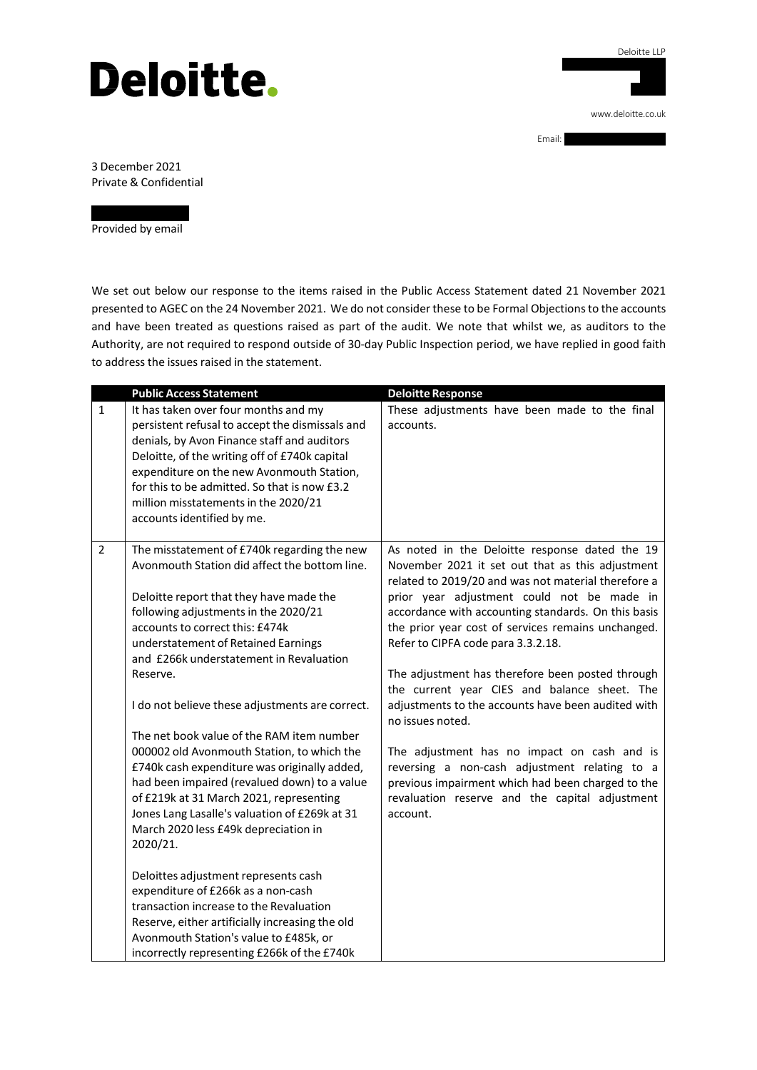## **Deloitte.**

Deloitte LLP 3 Rivergate, Temple Quay [www.deloitte.co.uk](http://www.deloitte.co.uk/)

Email:

3 December 2021 Private & Confidential

Provided by email

We set out below our response to the items raised in the Public Access Statement dated 21 November 2021 presented to AGEC on the 24 November 2021. We do not consider these to be Formal Objections to the accounts and have been treated as questions raised as part of the audit. We note that whilst we, as auditors to the Authority, are not required to respond outside of 30-day Public Inspection period, we have replied in good faith to address the issues raised in the statement.

|                | <b>Public Access Statement</b>                                                                                                                                                                                                                                                                                                                                                                                                                                                                                                                                                                                                                                                                                                                                                                                                                                                                                                       | <b>Deloitte Response</b>                                                                                                                                                                                                                                                                                                                                                                                                                                                                                                                                                                                                                                                                                                                                    |
|----------------|--------------------------------------------------------------------------------------------------------------------------------------------------------------------------------------------------------------------------------------------------------------------------------------------------------------------------------------------------------------------------------------------------------------------------------------------------------------------------------------------------------------------------------------------------------------------------------------------------------------------------------------------------------------------------------------------------------------------------------------------------------------------------------------------------------------------------------------------------------------------------------------------------------------------------------------|-------------------------------------------------------------------------------------------------------------------------------------------------------------------------------------------------------------------------------------------------------------------------------------------------------------------------------------------------------------------------------------------------------------------------------------------------------------------------------------------------------------------------------------------------------------------------------------------------------------------------------------------------------------------------------------------------------------------------------------------------------------|
| $\mathbf{1}$   | It has taken over four months and my<br>persistent refusal to accept the dismissals and<br>denials, by Avon Finance staff and auditors<br>Deloitte, of the writing off of £740k capital<br>expenditure on the new Avonmouth Station,<br>for this to be admitted. So that is now £3.2<br>million misstatements in the 2020/21<br>accounts identified by me.                                                                                                                                                                                                                                                                                                                                                                                                                                                                                                                                                                           | These adjustments have been made to the final<br>accounts.                                                                                                                                                                                                                                                                                                                                                                                                                                                                                                                                                                                                                                                                                                  |
| $\overline{2}$ | The misstatement of £740k regarding the new<br>Avonmouth Station did affect the bottom line.<br>Deloitte report that they have made the<br>following adjustments in the 2020/21<br>accounts to correct this: £474k<br>understatement of Retained Earnings<br>and £266k understatement in Revaluation<br>Reserve.<br>I do not believe these adjustments are correct.<br>The net book value of the RAM item number<br>000002 old Avonmouth Station, to which the<br>£740k cash expenditure was originally added,<br>had been impaired (revalued down) to a value<br>of £219k at 31 March 2021, representing<br>Jones Lang Lasalle's valuation of £269k at 31<br>March 2020 less £49k depreciation in<br>2020/21.<br>Deloittes adjustment represents cash<br>expenditure of £266k as a non-cash<br>transaction increase to the Revaluation<br>Reserve, either artificially increasing the old<br>Avonmouth Station's value to £485k, or | As noted in the Deloitte response dated the 19<br>November 2021 it set out that as this adjustment<br>related to 2019/20 and was not material therefore a<br>prior year adjustment could not be made in<br>accordance with accounting standards. On this basis<br>the prior year cost of services remains unchanged.<br>Refer to CIPFA code para 3.3.2.18.<br>The adjustment has therefore been posted through<br>the current year CIES and balance sheet. The<br>adjustments to the accounts have been audited with<br>no issues noted.<br>The adjustment has no impact on cash and is<br>reversing a non-cash adjustment relating to a<br>previous impairment which had been charged to the<br>revaluation reserve and the capital adjustment<br>account. |
|                | incorrectly representing £266k of the £740k                                                                                                                                                                                                                                                                                                                                                                                                                                                                                                                                                                                                                                                                                                                                                                                                                                                                                          |                                                                                                                                                                                                                                                                                                                                                                                                                                                                                                                                                                                                                                                                                                                                                             |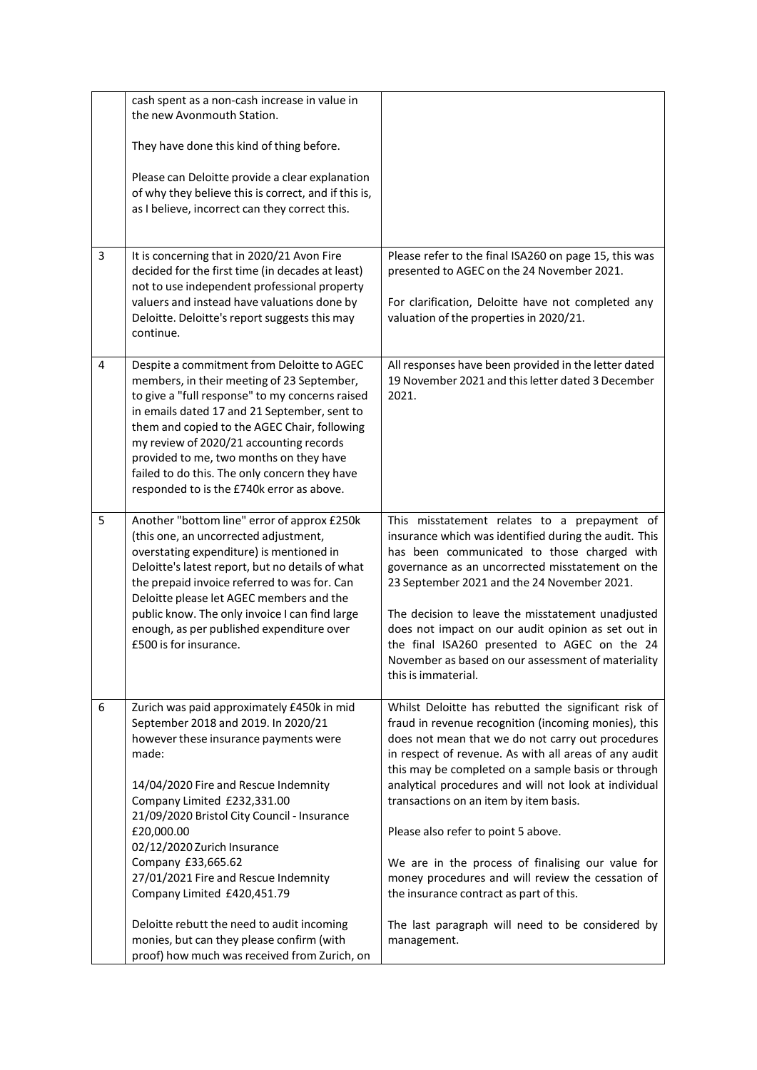|   | cash spent as a non-cash increase in value in<br>the new Avonmouth Station.                                                                                                                                                                                                                                                                                                                                                     |                                                                                                                                                                                                                                                                                                                                                                                                                                                                                                 |
|---|---------------------------------------------------------------------------------------------------------------------------------------------------------------------------------------------------------------------------------------------------------------------------------------------------------------------------------------------------------------------------------------------------------------------------------|-------------------------------------------------------------------------------------------------------------------------------------------------------------------------------------------------------------------------------------------------------------------------------------------------------------------------------------------------------------------------------------------------------------------------------------------------------------------------------------------------|
|   | They have done this kind of thing before.                                                                                                                                                                                                                                                                                                                                                                                       |                                                                                                                                                                                                                                                                                                                                                                                                                                                                                                 |
|   | Please can Deloitte provide a clear explanation<br>of why they believe this is correct, and if this is,<br>as I believe, incorrect can they correct this.                                                                                                                                                                                                                                                                       |                                                                                                                                                                                                                                                                                                                                                                                                                                                                                                 |
| 3 | It is concerning that in 2020/21 Avon Fire<br>decided for the first time (in decades at least)<br>not to use independent professional property<br>valuers and instead have valuations done by<br>Deloitte. Deloitte's report suggests this may<br>continue.                                                                                                                                                                     | Please refer to the final ISA260 on page 15, this was<br>presented to AGEC on the 24 November 2021.<br>For clarification, Deloitte have not completed any<br>valuation of the properties in 2020/21.                                                                                                                                                                                                                                                                                            |
|   |                                                                                                                                                                                                                                                                                                                                                                                                                                 |                                                                                                                                                                                                                                                                                                                                                                                                                                                                                                 |
| 4 | Despite a commitment from Deloitte to AGEC<br>members, in their meeting of 23 September,<br>to give a "full response" to my concerns raised<br>in emails dated 17 and 21 September, sent to<br>them and copied to the AGEC Chair, following<br>my review of 2020/21 accounting records<br>provided to me, two months on they have<br>failed to do this. The only concern they have<br>responded to is the £740k error as above. | All responses have been provided in the letter dated<br>19 November 2021 and this letter dated 3 December<br>2021.                                                                                                                                                                                                                                                                                                                                                                              |
| 5 | Another "bottom line" error of approx £250k<br>(this one, an uncorrected adjustment,<br>overstating expenditure) is mentioned in<br>Deloitte's latest report, but no details of what<br>the prepaid invoice referred to was for. Can<br>Deloitte please let AGEC members and the<br>public know. The only invoice I can find large<br>enough, as per published expenditure over<br>£500 is for insurance.                       | This misstatement relates to a prepayment of<br>insurance which was identified during the audit. This<br>has been communicated to those charged with<br>governance as an uncorrected misstatement on the<br>23 September 2021 and the 24 November 2021.<br>The decision to leave the misstatement unadjusted<br>does not impact on our audit opinion as set out in<br>the final ISA260 presented to AGEC on the 24<br>November as based on our assessment of materiality<br>this is immaterial. |
| 6 | Zurich was paid approximately £450k in mid<br>September 2018 and 2019. In 2020/21<br>however these insurance payments were<br>made:<br>14/04/2020 Fire and Rescue Indemnity<br>Company Limited £232,331.00<br>21/09/2020 Bristol City Council - Insurance<br>£20,000.00<br>02/12/2020 Zurich Insurance                                                                                                                          | Whilst Deloitte has rebutted the significant risk of<br>fraud in revenue recognition (incoming monies), this<br>does not mean that we do not carry out procedures<br>in respect of revenue. As with all areas of any audit<br>this may be completed on a sample basis or through<br>analytical procedures and will not look at individual<br>transactions on an item by item basis.<br>Please also refer to point 5 above.                                                                      |
|   | Company £33,665.62<br>27/01/2021 Fire and Rescue Indemnity<br>Company Limited £420,451.79                                                                                                                                                                                                                                                                                                                                       | We are in the process of finalising our value for<br>money procedures and will review the cessation of<br>the insurance contract as part of this.                                                                                                                                                                                                                                                                                                                                               |
|   | Deloitte rebutt the need to audit incoming<br>monies, but can they please confirm (with<br>proof) how much was received from Zurich, on                                                                                                                                                                                                                                                                                         | The last paragraph will need to be considered by<br>management.                                                                                                                                                                                                                                                                                                                                                                                                                                 |